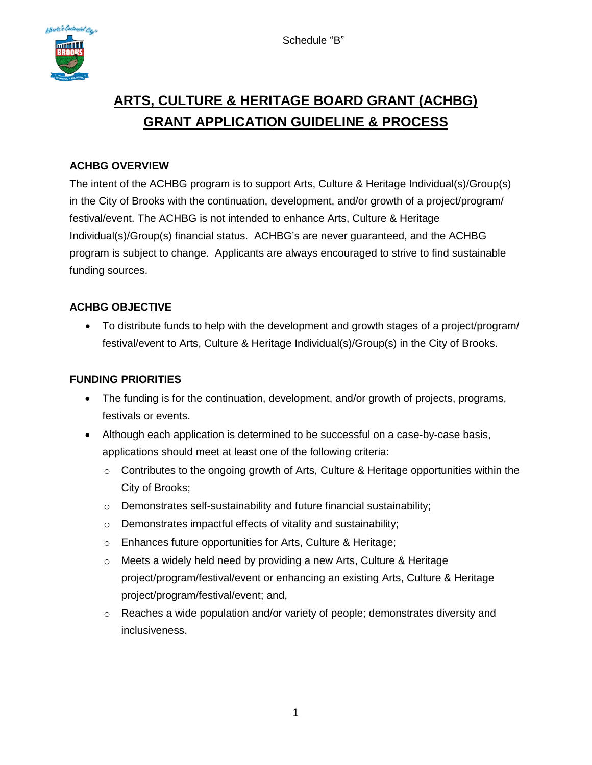

# **ARTS, CULTURE & HERITAGE BOARD GRANT (ACHBG) GRANT APPLICATION GUIDELINE & PROCESS**

# **ACHBG OVERVIEW**

The intent of the ACHBG program is to support Arts, Culture & Heritage Individual(s)/Group(s) in the City of Brooks with the continuation, development, and/or growth of a project/program/ festival/event. The ACHBG is not intended to enhance Arts, Culture & Heritage Individual(s)/Group(s) financial status. ACHBG's are never guaranteed, and the ACHBG program is subject to change. Applicants are always encouraged to strive to find sustainable funding sources.

# **ACHBG OBJECTIVE**

• To distribute funds to help with the development and growth stages of a project/program/ festival/event to Arts, Culture & Heritage Individual(s)/Group(s) in the City of Brooks.

### **FUNDING PRIORITIES**

- The funding is for the continuation, development, and/or growth of projects, programs, festivals or events.
- Although each application is determined to be successful on a case-by-case basis, applications should meet at least one of the following criteria:
	- $\circ$  Contributes to the ongoing growth of Arts, Culture & Heritage opportunities within the City of Brooks;
	- o Demonstrates self-sustainability and future financial sustainability;
	- o Demonstrates impactful effects of vitality and sustainability;
	- o Enhances future opportunities for Arts, Culture & Heritage;
	- o Meets a widely held need by providing a new Arts, Culture & Heritage project/program/festival/event or enhancing an existing Arts, Culture & Heritage project/program/festival/event; and,
	- $\circ$  Reaches a wide population and/or variety of people; demonstrates diversity and inclusiveness.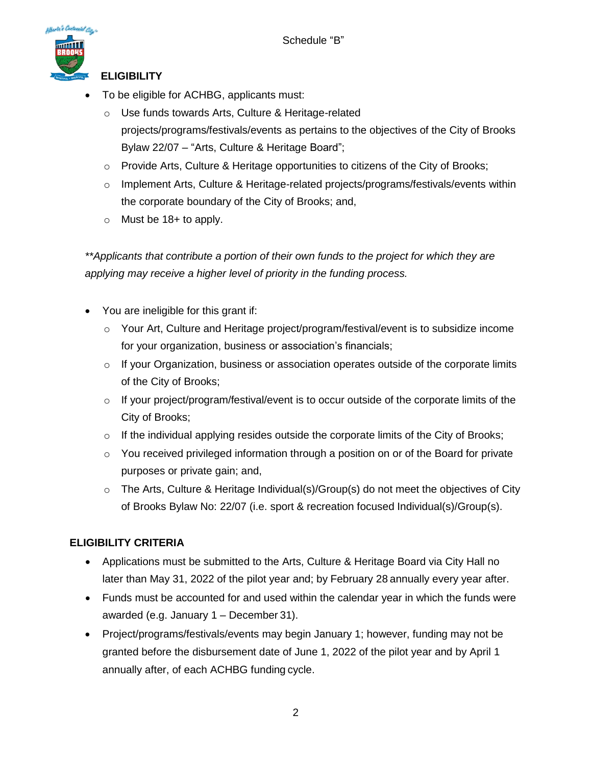

### **ELIGIBILITY**

- To be eligible for ACHBG, applicants must:
	- o Use funds towards Arts, Culture & Heritage-related projects/programs/festivals/events as pertains to the objectives of the City of Brooks Bylaw 22/07 – "Arts, Culture & Heritage Board";
	- $\circ$  Provide Arts, Culture & Heritage opportunities to citizens of the City of Brooks;
	- $\circ$  Implement Arts, Culture & Heritage-related projects/programs/festivals/events within the corporate boundary of the City of Brooks; and,
	- $\circ$  Must be 18+ to apply.

*\*\*Applicants that contribute a portion of their own funds to the project for which they are applying may receive a higher level of priority in the funding process.*

- You are ineligible for this grant if:
	- $\circ$  Your Art, Culture and Heritage project/program/festival/event is to subsidize income for your organization, business or association's financials;
	- $\circ$  If your Organization, business or association operates outside of the corporate limits of the City of Brooks;
	- $\circ$  If your project/program/festival/event is to occur outside of the corporate limits of the City of Brooks;
	- o If the individual applying resides outside the corporate limits of the City of Brooks;
	- $\circ$  You received privileged information through a position on or of the Board for private purposes or private gain; and,
	- o The Arts, Culture & Heritage Individual(s)/Group(s) do not meet the objectives of City of Brooks Bylaw No: 22/07 (i.e. sport & recreation focused Individual(s)/Group(s).

### **ELIGIBILITY CRITERIA**

- Applications must be submitted to the Arts, Culture & Heritage Board via City Hall no later than May 31, 2022 of the pilot year and; by February 28 annually every year after.
- Funds must be accounted for and used within the calendar year in which the funds were awarded (e.g. January 1 – December 31).
- Project/programs/festivals/events may begin January 1; however, funding may not be granted before the disbursement date of June 1, 2022 of the pilot year and by April 1 annually after, of each ACHBG funding cycle.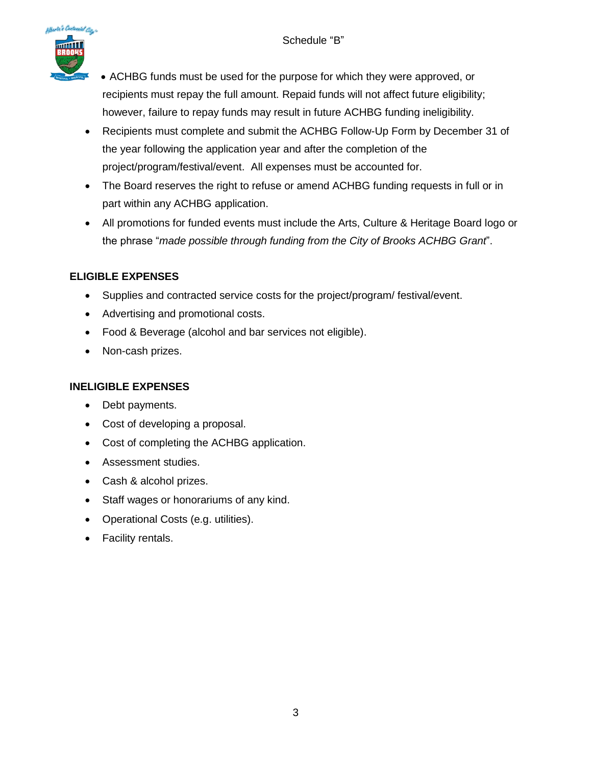

• ACHBG funds must be used for the purpose for which they were approved, or recipients must repay the full amount. Repaid funds will not affect future eligibility; however, failure to repay funds may result in future ACHBG funding ineligibility.

- Recipients must complete and submit the ACHBG Follow-Up Form by December 31 of the year following the application year and after the completion of the project/program/festival/event. All expenses must be accounted for.
- The Board reserves the right to refuse or amend ACHBG funding requests in full or in part within any ACHBG application.
- All promotions for funded events must include the Arts, Culture & Heritage Board logo or the phrase "*made possible through funding from the City of Brooks ACHBG Grant*".

# **ELIGIBLE EXPENSES**

- Supplies and contracted service costs for the project/program/ festival/event.
- Advertising and promotional costs.
- Food & Beverage (alcohol and bar services not eligible).
- Non-cash prizes.

### **INELIGIBLE EXPENSES**

- Debt payments.
- Cost of developing a proposal.
- Cost of completing the ACHBG application.
- Assessment studies.
- Cash & alcohol prizes.
- Staff wages or honorariums of any kind.
- Operational Costs (e.g. utilities).
- Facility rentals.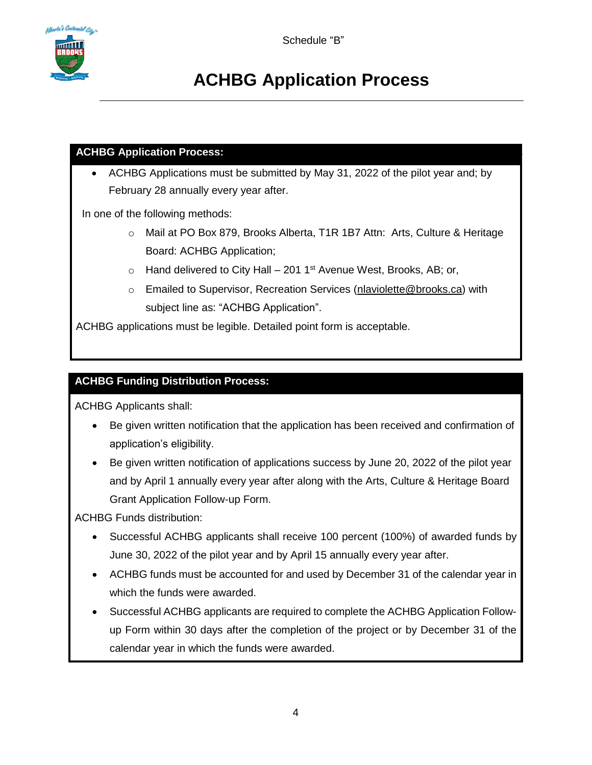# **ACHBG Application Process**

### **ACHBG Application Process:**

• ACHBG Applications must be submitted by May 31, 2022 of the pilot year and; by February 28 annually every year after.

In one of the following methods:

- o Mail at PO Box 879, Brooks Alberta, T1R 1B7 Attn: Arts, Culture & Heritage Board: ACHBG Application;
- $\circ$  Hand delivered to City Hall 201 1<sup>st</sup> Avenue West, Brooks, AB; or,
- o Emailed to Supervisor, Recreation Services (nlaviolette@brooks.ca) with subject line as: "ACHBG Application".

ACHBG applications must be legible. Detailed point form is acceptable.

# **ACHBG Funding Distribution Process:**

ACHBG Applicants shall:

- Be given written notification that the application has been received and confirmation of application's eligibility.
- Be given written notification of applications success by June 20, 2022 of the pilot year and by April 1 annually every year after along with the Arts, Culture & Heritage Board Grant Application Follow-up Form.

ACHBG Funds distribution:

- Successful ACHBG applicants shall receive 100 percent (100%) of awarded funds by June 30, 2022 of the pilot year and by April 15 annually every year after.
- ACHBG funds must be accounted for and used by December 31 of the calendar year in which the funds were awarded.
- Successful ACHBG applicants are required to complete the ACHBG Application Followup Form within 30 days after the completion of the project or by December 31 of the calendar year in which the funds were awarded.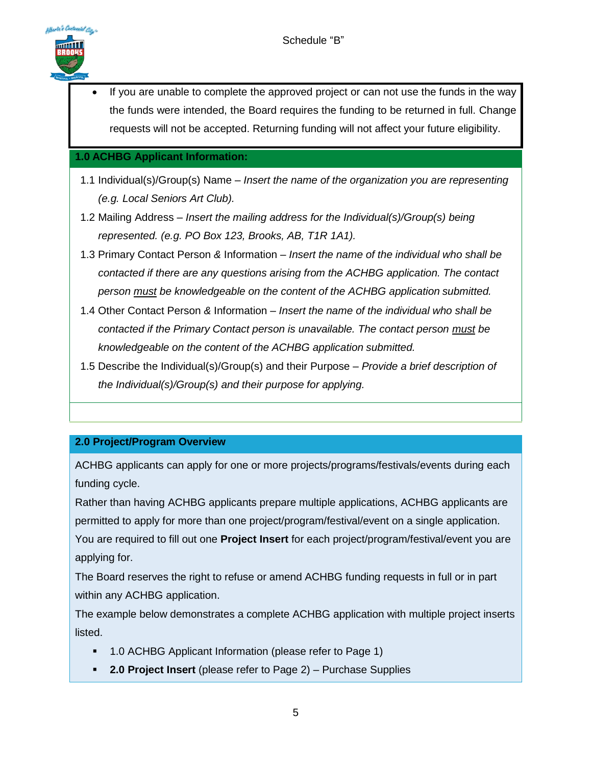

If you are unable to complete the approved project or can not use the funds in the way the funds were intended, the Board requires the funding to be returned in full. Change requests will not be accepted. Returning funding will not affect your future eligibility.

### **1.0 ACHBG Applicant Information:**

- 1.1 Individual(s)/Group(s) Name *– Insert the name of the organization you are representing (e.g. Local Seniors Art Club).*
- 1.2 Mailing Address *– Insert the mailing address for the Individual(s)/Group(s) being represented. (e.g. PO Box 123, Brooks, AB, T1R 1A1).*
- 1.3 Primary Contact Person *&* Information *– Insert the name of the individual who shall be contacted if there are any questions arising from the ACHBG application. The contact person must be knowledgeable on the content of the ACHBG application submitted.*
- 1.4 Other Contact Person *&* Information *– Insert the name of the individual who shall be contacted if the Primary Contact person is unavailable. The contact person must be knowledgeable on the content of the ACHBG application submitted.*
- 1.5 Describe the Individual(s)/Group(s) and their Purpose *– Provide a brief description of the Individual(s)/Group(s) and their purpose for applying.*

### **2.0 Project/Program Overview**

ACHBG applicants can apply for one or more projects/programs/festivals/events during each funding cycle.

Rather than having ACHBG applicants prepare multiple applications, ACHBG applicants are permitted to apply for more than one project/program/festival/event on a single application. You are required to fill out one **Project Insert** for each project/program/festival/event you are applying for.

The Board reserves the right to refuse or amend ACHBG funding requests in full or in part within any ACHBG application.

The example below demonstrates a complete ACHBG application with multiple project inserts listed.

- 1.0 ACHBG Applicant Information (please refer to Page 1)
- **2.0 Project Insert** (please refer to Page 2) Purchase Supplies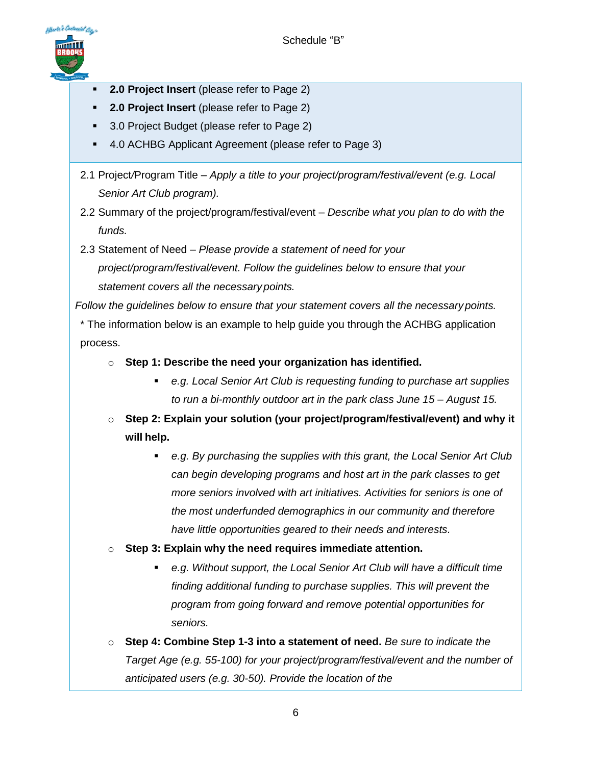

- **2.0 Project Insert** (please refer to Page 2)
- **2.0 Project Insert** (please refer to Page 2)
- 3.0 Project Budget (please refer to Page 2)
- 4.0 ACHBG Applicant Agreement (please refer to Page 3)
- 2.1 Project*/*Program Title *– Apply a title to your project/program/festival/event (e.g. Local Senior Art Club program).*
- 2.2 Summary of the project/program/festival/event *– Describe what you plan to do with the funds.*
- 2.3 Statement of Need *– Please provide a statement of need for your project/program/festival/event. Follow the guidelines below to ensure that your statement covers all the necessarypoints.*

*Follow the guidelines below to ensure that your statement covers all the necessarypoints.*

\* The information below is an example to help guide you through the ACHBG application process.

- o **Step 1: Describe the need your organization has identified.**
	- *e.g. Local Senior Art Club is requesting funding to purchase art supplies to run a bi-monthly outdoor art in the park class June 15 – August 15.*
- o **Step 2: Explain your solution (your project/program/festival/event) and why it will help.**
	- *e.g. By purchasing the supplies with this grant, the Local Senior Art Club can begin developing programs and host art in the park classes to get more seniors involved with art initiatives. Activities for seniors is one of the most underfunded demographics in our community and therefore have little opportunities geared to their needs and interests.*
- o **Step 3: Explain why the need requires immediate attention.**
	- *e.g. Without support, the Local Senior Art Club will have a difficult time finding additional funding to purchase supplies. This will prevent the program from going forward and remove potential opportunities for seniors.*
- o **Step 4: Combine Step 1-3 into a statement of need.** *Be sure to indicate the Target Age (e.g. 55-100) for your project/program/festival/event and the number of anticipated users (e.g. 30-50). Provide the location of the*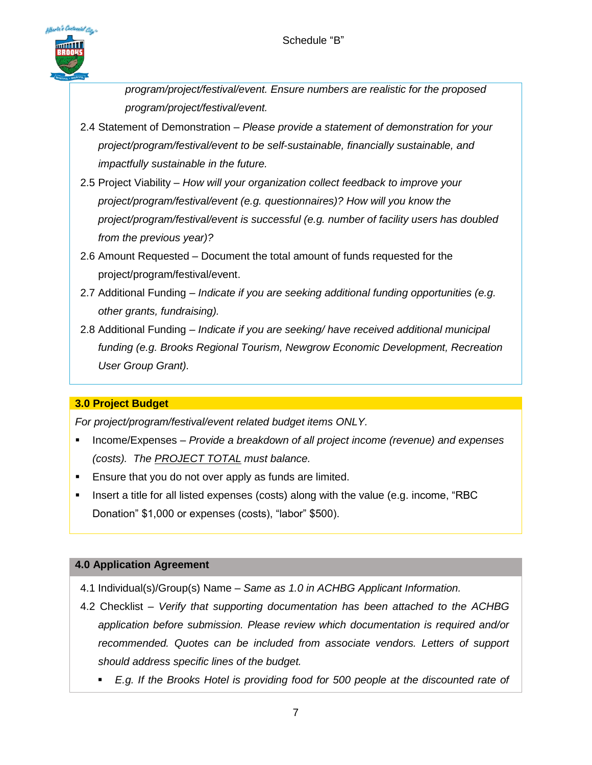

*program/project/festival/event. Ensure numbers are realistic for the proposed program/project/festival/event.*

- 2.4 Statement of Demonstration *Please provide a statement of demonstration for your project/program/festival/event to be self-sustainable, financially sustainable, and impactfully sustainable in the future.*
- 2.5 Project Viability *– How will your organization collect feedback to improve your project/program/festival/event (e.g. questionnaires)? How will you know the project/program/festival/event is successful (e.g. number of facility users has doubled from the previous year)?*
- 2.6 Amount Requested *–* Document the total amount of funds requested for the project/program/festival/event.
- 2.7 Additional Funding *– Indicate if you are seeking additional funding opportunities (e.g. other grants, fundraising).*
- 2.8 Additional Funding *– Indicate if you are seeking/ have received additional municipal funding (e.g. Brooks Regional Tourism, Newgrow Economic Development, Recreation User Group Grant).*

# **3.0 Project Budget**

*For project/program/festival/event related budget items ONLY.* 

- Income/Expenses *Provide a breakdown of all project income (revenue) and expenses (costs). The PROJECT TOTAL must balance.*
- Ensure that you do not over apply as funds are limited.
- **•** Insert a title for all listed expenses (costs) along with the value (e.g. income, "RBC Donation" \$1,000 or expenses (costs), "labor" \$500).

#### **4.0 Application Agreement**

- 4.1 Individual(s)/Group(s) Name *– Same as 1.0 in ACHBG Applicant Information.*
- 4.2 Checklist *– Verify that supporting documentation has been attached to the ACHBG application before submission. Please review which documentation is required and/or recommended. Quotes can be included from associate vendors. Letters of support should address specific lines of the budget.*
	- *E.g. If the Brooks Hotel is providing food for 500 people at the discounted rate of*